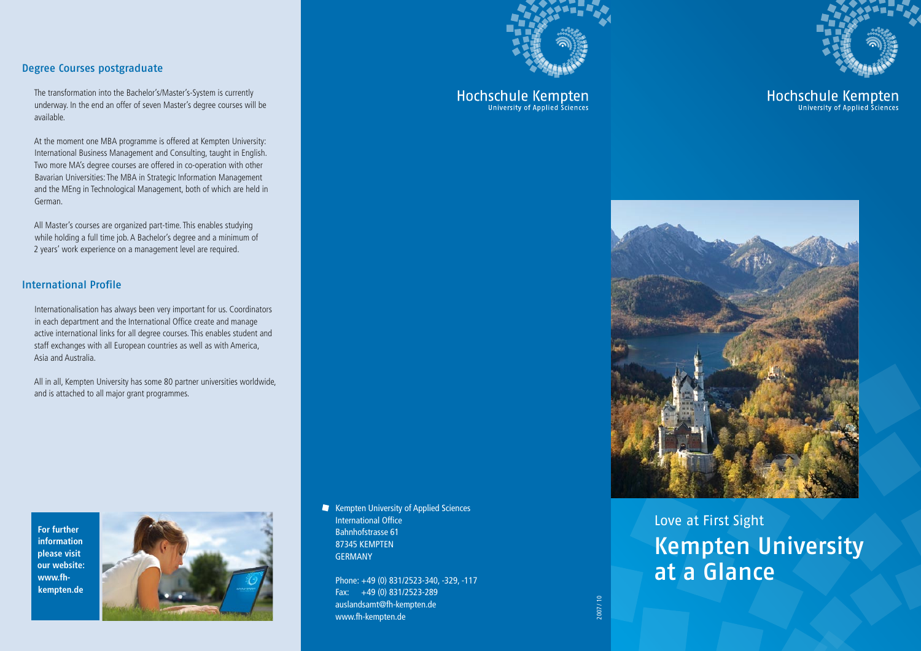

The transformation into the Bachelor's/Master's-System is currently underway. In the end an offer of seven Master's degree courses will be available.

At the moment one MBA programme is offered at Kempten University: International Business Management and Consulting, taught in English. Two more MA's degree courses are offered in co-operation with other Bavarian Universities: The MBA in Strategic Information Management and the MEng in Technological Management, both of which are held in German.

All Master's courses are organized part-time. This enables studying while holding a full time job. A Bachelor's degree and a minimum of 2 years' work experience on a management level are required.

# International Profile

Internationalisation has always been very important for us. Coordinators in each department and the International Office create and manage active international links for all degree courses. This enables student and staff exchanges with all European countries as well as with America, Asia and Australia.

All in all, Kempten University has some 80 partner universities worldwide, and is attached to all major grant programmes.





Kempten University of Applied Sciences International Office Bahnhofstrasse 61 87345 KEMPTEN GERMANY

Phone: +49 (0) 831/2523-340, -329, -117 Fax: +49 (0) 831/2523-289 auslandsamt@fh-kempten.de www.fh-kempten.de



Hochschule Kempten



Hochschule Kempten



Love at First Sight Kempten University at a Glance

2007 / 10